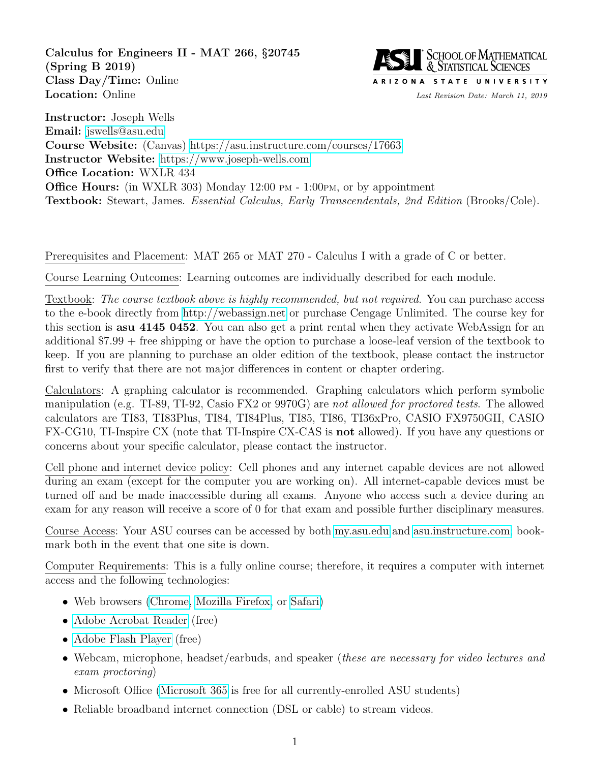<span id="page-0-0"></span>Calculus for Engineers II - MAT 266, §20745 (Spring B 2019) Class Day/Time: Online Location: Online Last Revision Date: March 11, 2019



Instructor: Joseph Wells Email: [jswells@asu.edu](mailto:jswells@asu.edu) Course Website: (Canvas)<https://asu.instructure.com/courses/17663> Instructor Website: [https://www.joseph-wells.com](Joseph-Wells.com) Office Location: WXLR 434 Office Hours: (in WXLR 303) Monday 12:00 PM - 1:00PM, or by appointment Textbook: Stewart, James. Essential Calculus, Early Transcendentals, 2nd Edition (Brooks/Cole).

Prerequisites and Placement: MAT 265 or MAT 270 - Calculus I with a grade of C or better.

Course Learning Outcomes: Learning outcomes are individually described for each module.

Textbook: The course textbook above is highly recommended, but not required. You can purchase access to the e-book directly from [http://webassign.net](WebAssign.net) or purchase Cengage Unlimited. The course key for this section is asu 4145 0452. You can also get a print rental when they activate WebAssign for an additional \$7.99 + free shipping or have the option to purchase a loose-leaf version of the textbook to keep. If you are planning to purchase an older edition of the textbook, please contact the instructor first to verify that there are not major differences in content or chapter ordering.

Calculators: A graphing calculator is recommended. Graphing calculators which perform symbolic manipulation (e.g. TI-89, TI-92, Casio FX2 or 9970G) are not allowed for proctored tests. The allowed calculators are TI83, TI83Plus, TI84, TI84Plus, TI85, TI86, TI36xPro, CASIO FX9750GII, CASIO FX-CG10, TI-Inspire CX (note that TI-Inspire CX-CAS is not allowed). If you have any questions or concerns about your specific calculator, please contact the instructor.

Cell phone and internet device policy: Cell phones and any internet capable devices are not allowed during an exam (except for the computer you are working on). All internet-capable devices must be turned off and be made inaccessible during all exams. Anyone who access such a device during an exam for any reason will receive a score of 0 for that exam and possible further disciplinary measures.

Course Access: Your ASU courses can be accessed by both<my.asu.edu> and [asu.instructure.com;](asu.instructure.com) bookmark both in the event that one site is down.

Computer Requirements: This is a fully online course; therefore, it requires a computer with internet access and the following technologies:

- Web browsers [\(Chrome,](https://www.google.com/chrome) [Mozilla Firefox,](http://www.mozilla.org/en-US/firefox/new/) or [Safari\)](http://www.apple.com/safari/)
- [Adobe Acrobat Reader](http://get.adobe.com/reader/) (free)
- [Adobe Flash Player](http://get.adobe.com/flashplayer/) (free)
- Webcam, microphone, headset/earbuds, and speaker *(these are necessary for video lectures and* exam proctoring)
- Microsoft Office [\(Microsoft 365](https://myapps.asu.edu/app/microsoft-office-2016-home-usage) is free for all currently-enrolled ASU students)
- Reliable broadband internet connection (DSL or cable) to stream videos.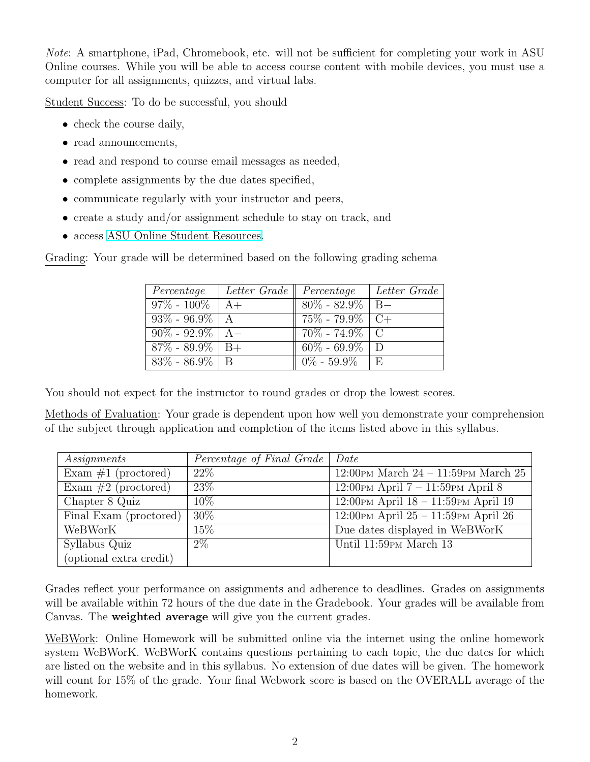Note: A smartphone, iPad, Chromebook, etc. will not be sufficient for completing your work in ASU Online courses. While you will be able to access course content with mobile devices, you must use a computer for all assignments, quizzes, and virtual labs.

Student Success: To do be successful, you should

- check the course daily,
- read announcements,
- read and respond to course email messages as needed,
- complete assignments by the due dates specified,
- communicate regularly with your instructor and peers,
- create a study and/or assignment schedule to stay on track, and
- access [ASU Online Student Resources.](http://goto.asuonline.asu.edu/success/online-resources.html)

Grading: Your grade will be determined based on the following grading schema

| Percentage           | Letter Grade $\parallel$ Percentage |                     | Letter Grade |
|----------------------|-------------------------------------|---------------------|--------------|
| $97\% - 100\%$   A+  |                                     | $80\%$ - 82.9%   B- |              |
| $93\% - 96.9\%$   A  |                                     | $75\%$ - $79.9\%$   |              |
| $90\% - 92.9\%$   A- |                                     | $70\% - 74.9\%$ C   |              |
| $87\%$ - $89.9\%$    | $B+$                                | $60\% - 69.9\%$     | - D          |
| $83\% - 86.9\%$ B    |                                     | $0\% - 59.9\%$      | $-E$         |

You should not expect for the instructor to round grades or drop the lowest scores.

Methods of Evaluation: Your grade is dependent upon how well you demonstrate your comprehension of the subject through application and completion of the items listed above in this syllabus.

| Assignments             | Percentage of Final Grade   Date |                                                         |
|-------------------------|----------------------------------|---------------------------------------------------------|
| Exam $#1$ (proctored)   | $22\%$                           | 12:00 PM March $24 - 11:59$ PM March $25$               |
| Exam $#2$ (proctored)   | 23\%                             | $12:00 \text{PM April } 7 - 11:59 \text{PM April } 8$   |
| Chapter 8 Quiz          | $10\%$                           | $12:00 \text{PM April } 18 - 11:59 \text{PM April } 19$ |
| Final Exam (proctored)  | 30\%                             | $12:00 \text{PM April } 25 - 11:59 \text{PM April } 26$ |
| <b>WeBWorK</b>          | $15\%$                           | Due dates displayed in WeBWorK                          |
| Syllabus Quiz           | $2\%$                            | Until 11:59 PM March 13                                 |
| (optional extra credit) |                                  |                                                         |

Grades reflect your performance on assignments and adherence to deadlines. Grades on assignments will be available within 72 hours of the due date in the Gradebook. Your grades will be available from Canvas. The weighted average will give you the current grades.

WeBWork: Online Homework will be submitted online via the internet using the online homework system WeBWorK. WeBWorK contains questions pertaining to each topic, the due dates for which are listed on the website and in this syllabus. No extension of due dates will be given. The homework will count for 15% of the grade. Your final Webwork score is based on the OVERALL average of the homework.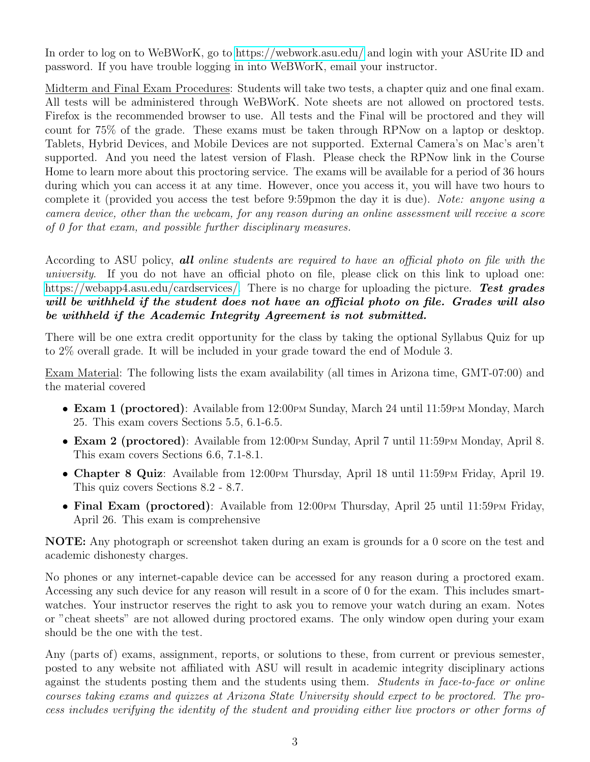In order to log on to WeBWorK, go to<https://webwork.asu.edu/> and login with your ASUrite ID and password. If you have trouble logging in into WeBWorK, email your instructor.

Midterm and Final Exam Procedures: Students will take two tests, a chapter quiz and one final exam. All tests will be administered through WeBWorK. Note sheets are not allowed on proctored tests. Firefox is the recommended browser to use. All tests and the Final will be proctored and they will count for 75% of the grade. These exams must be taken through RPNow on a laptop or desktop. Tablets, Hybrid Devices, and Mobile Devices are not supported. External Camera's on Mac's aren't supported. And you need the latest version of Flash. Please check the RPNow link in the Course Home to learn more about this proctoring service. The exams will be available for a period of 36 hours during which you can access it at any time. However, once you access it, you will have two hours to complete it (provided you access the test before 9:59pmon the day it is due). Note: anyone using a camera device, other than the webcam, for any reason during an online assessment will receive a score of 0 for that exam, and possible further disciplinary measures.

According to ASU policy, **all** online students are required to have an official photo on file with the university. If you do not have an official photo on file, please click on this link to upload one: [https://webapp4.asu.edu/cardservices/.](https://webapp4.asu.edu/cardservices/) There is no charge for uploading the picture. Test grades will be withheld if the student does not have an official photo on file. Grades will also be withheld if the Academic Integrity Agreement is not submitted.

There will be one extra credit opportunity for the class by taking the optional Syllabus Quiz for up to 2% overall grade. It will be included in your grade toward the end of Module 3.

Exam Material: The following lists the exam availability (all times in Arizona time, GMT-07:00) and the material covered

- Exam 1 (proctored): Available from 12:00 PM Sunday, March 24 until 11:59 PM Monday, March 25. This exam covers Sections 5.5, 6.1-6.5.
- Exam 2 (proctored): Available from 12:00 PM Sunday, April 7 until 11:59 PM Monday, April 8. This exam covers Sections 6.6, 7.1-8.1.
- Chapter 8 Quiz: Available from 12:00 PM Thursday, April 18 until 11:59 PM Friday, April 19. This quiz covers Sections 8.2 - 8.7.
- Final Exam (proctored): Available from  $12:00 \text{PM}$  Thursday, April 25 until 11:59 PM Friday, April 26. This exam is comprehensive

NOTE: Any photograph or screenshot taken during an exam is grounds for a 0 score on the test and academic dishonesty charges.

No phones or any internet-capable device can be accessed for any reason during a proctored exam. Accessing any such device for any reason will result in a score of 0 for the exam. This includes smartwatches. Your instructor reserves the right to ask you to remove your watch during an exam. Notes or "cheat sheets" are not allowed during proctored exams. The only window open during your exam should be the one with the test.

Any (parts of) exams, assignment, reports, or solutions to these, from current or previous semester, posted to any website not affiliated with ASU will result in academic integrity disciplinary actions against the students posting them and the students using them. Students in face-to-face or online courses taking exams and quizzes at Arizona State University should expect to be proctored. The process includes verifying the identity of the student and providing either live proctors or other forms of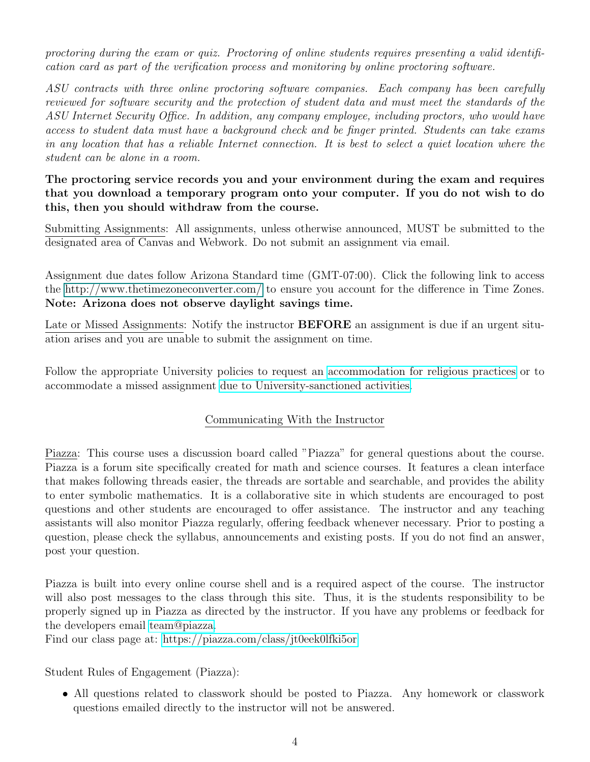proctoring during the exam or quiz. Proctoring of online students requires presenting a valid identification card as part of the verification process and monitoring by online proctoring software.

ASU contracts with three online proctoring software companies. Each company has been carefully reviewed for software security and the protection of student data and must meet the standards of the ASU Internet Security Office. In addition, any company employee, including proctors, who would have access to student data must have a background check and be finger printed. Students can take exams in any location that has a reliable Internet connection. It is best to select a quiet location where the student can be alone in a room.

## The proctoring service records you and your environment during the exam and requires that you download a temporary program onto your computer. If you do not wish to do this, then you should withdraw from the course.

Submitting Assignments: All assignments, unless otherwise announced, MUST be submitted to the designated area of Canvas and Webwork. Do not submit an assignment via email.

Assignment due dates follow Arizona Standard time (GMT-07:00). Click the following link to access the [http://www.thetimezoneconverter.com/](#page-0-0) to ensure you account for the difference in Time Zones. Note: Arizona does not observe daylight savings time.

Late or Missed Assignments: Notify the instructor **BEFORE** an assignment is due if an urgent situation arises and you are unable to submit the assignment on time.

Follow the appropriate University policies to request an [accommodation for religious practices](http://www.asu.edu/aad/manuals/acd/acd304-04.html) or to accommodate a missed assignment [due to University-sanctioned activities.](http://www.asu.edu/aad/manuals/acd/acd304-02.html)

## Communicating With the Instructor

Piazza: This course uses a discussion board called "Piazza" for general questions about the course. Piazza is a forum site specifically created for math and science courses. It features a clean interface that makes following threads easier, the threads are sortable and searchable, and provides the ability to enter symbolic mathematics. It is a collaborative site in which students are encouraged to post questions and other students are encouraged to offer assistance. The instructor and any teaching assistants will also monitor Piazza regularly, offering feedback whenever necessary. Prior to posting a question, please check the syllabus, announcements and existing posts. If you do not find an answer, post your question.

Piazza is built into every online course shell and is a required aspect of the course. The instructor will also post messages to the class through this site. Thus, it is the students responsibility to be properly signed up in Piazza as directed by the instructor. If you have any problems or feedback for the developers email [team@piazza.](mailto:team@piazza.com)

Find our class page at:<https://piazza.com/class/jt0eek0lfki5or>

Student Rules of Engagement (Piazza):

• All questions related to classwork should be posted to Piazza. Any homework or classwork questions emailed directly to the instructor will not be answered.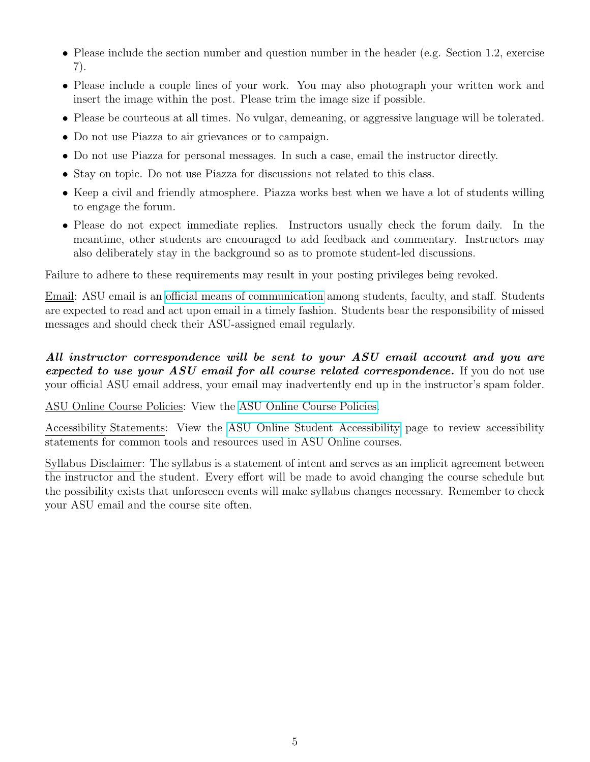- Please include the section number and question number in the header (e.g. Section 1.2, exercise 7).
- Please include a couple lines of your work. You may also photograph your written work and insert the image within the post. Please trim the image size if possible.
- Please be courteous at all times. No vulgar, demeaning, or aggressive language will be tolerated.
- Do not use Piazza to air grievances or to campaign.
- Do not use Piazza for personal messages. In such a case, email the instructor directly.
- Stay on topic. Do not use Piazza for discussions not related to this class.
- Keep a civil and friendly atmosphere. Piazza works best when we have a lot of students willing to engage the forum.
- Please do not expect immediate replies. Instructors usually check the forum daily. In the meantime, other students are encouraged to add feedback and commentary. Instructors may also deliberately stay in the background so as to promote student-led discussions.

Failure to adhere to these requirements may result in your posting privileges being revoked.

Email: ASU email is an [official means of communication](http://www.asu.edu/aad/manuals/ssm/ssm107-03.html) among students, faculty, and staff. Students are expected to read and act upon email in a timely fashion. Students bear the responsibility of missed messages and should check their ASU-assigned email regularly.

All instructor correspondence will be sent to your ASU email account and you are expected to use your ASU email for all course related correspondence. If you do not use your official ASU email address, your email may inadvertently end up in the instructor's spam folder.

ASU Online Course Policies: View the [ASU Online Course Policies.](https://asuonline-dev.asu.edu/qm-template/CanvasQM/qm-policies.html)

Accessibility Statements: View the [ASU Online Student Accessibility](https://asuonline-dev.asu.edu/qm-template/CanvasQM/qm-accessibility.html) page to review accessibility statements for common tools and resources used in ASU Online courses.

Syllabus Disclaimer: The syllabus is a statement of intent and serves as an implicit agreement between the instructor and the student. Every effort will be made to avoid changing the course schedule but the possibility exists that unforeseen events will make syllabus changes necessary. Remember to check your ASU email and the course site often.